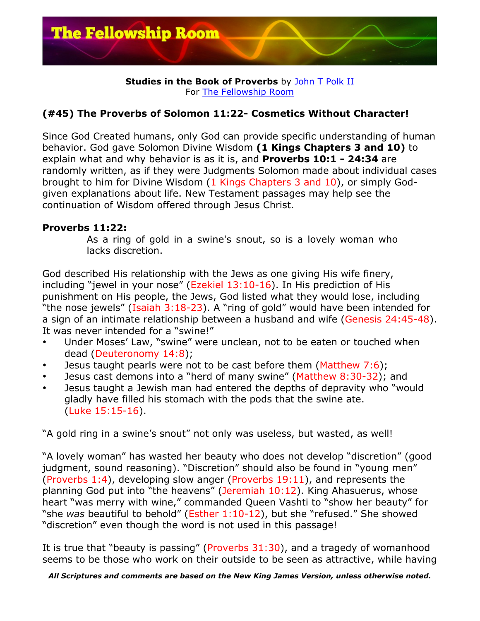

## **Studies in the Book of Proverbs** by John T Polk II For The Fellowship Room

## **(#45) The Proverbs of Solomon 11:22- Cosmetics Without Character!**

Since God Created humans, only God can provide specific understanding of human behavior. God gave Solomon Divine Wisdom **(1 Kings Chapters 3 and 10)** to explain what and why behavior is as it is, and **Proverbs 10:1 - 24:34** are randomly written, as if they were Judgments Solomon made about individual cases brought to him for Divine Wisdom (1 Kings Chapters 3 and 10), or simply Godgiven explanations about life. New Testament passages may help see the continuation of Wisdom offered through Jesus Christ.

## **Proverbs 11:22:**

As a ring of gold in a swine's snout, so is a lovely woman who lacks discretion.

God described His relationship with the Jews as one giving His wife finery, including "jewel in your nose" (Ezekiel 13:10-16). In His prediction of His punishment on His people, the Jews, God listed what they would lose, including "the nose jewels" (Isaiah 3:18-23). A "ring of gold" would have been intended for a sign of an intimate relationship between a husband and wife (Genesis 24:45-48). It was never intended for a "swine!"

- Under Moses' Law, "swine" were unclean, not to be eaten or touched when dead (Deuteronomy 14:8);
- Jesus taught pearls were not to be cast before them (Matthew 7:6);
- Jesus cast demons into a "herd of many swine" (Matthew 8:30-32); and
- Jesus taught a Jewish man had entered the depths of depravity who "would gladly have filled his stomach with the pods that the swine ate. (Luke 15:15-16).

"A gold ring in a swine's snout" not only was useless, but wasted, as well!

"A lovely woman" has wasted her beauty who does not develop "discretion" (good judgment, sound reasoning). "Discretion" should also be found in "young men" (Proverbs 1:4), developing slow anger (Proverbs 19:11), and represents the planning God put into "the heavens" (Jeremiah 10:12). King Ahasuerus, whose heart "was merry with wine," commanded Queen Vashti to "show her beauty" for "she *was* beautiful to behold" (Esther 1:10-12), but she "refused." She showed "discretion" even though the word is not used in this passage!

It is true that "beauty is passing" (Proverbs 31:30), and a tragedy of womanhood seems to be those who work on their outside to be seen as attractive, while having

*All Scriptures and comments are based on the New King James Version, unless otherwise noted.*